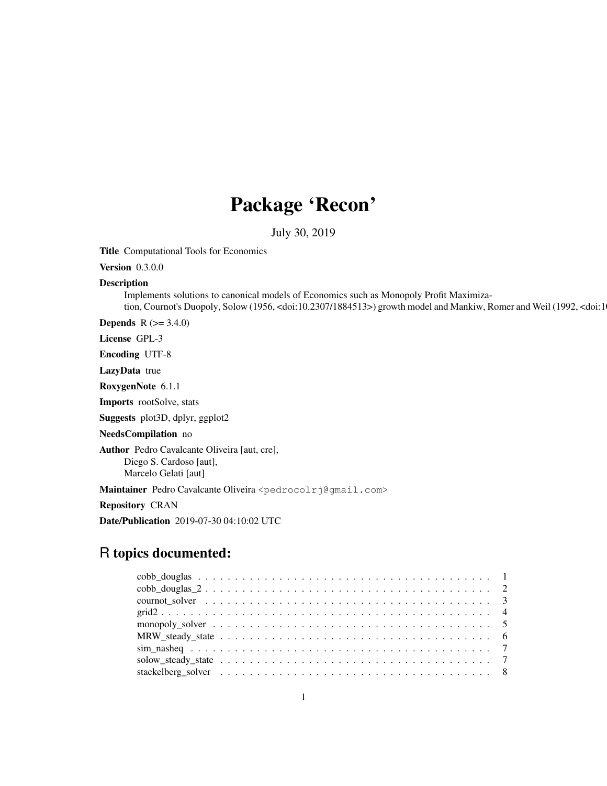# Package 'Recon'

July 30, 2019

Title Computational Tools for Economics

Version 0.3.0.0

## Description

Implements solutions to canonical models of Economics such as Monopoly Profit Maximization, Cournot's Duopoly, Solow (1956, <doi:10.2307/1884513>) growth model and Mankiw, Romer and Weil (1992, <doi:1

**Depends** R  $(>= 3.4.0)$ 

License GPL-3

Encoding UTF-8

LazyData true

RoxygenNote 6.1.1

Imports rootSolve, stats

Suggests plot3D, dplyr, ggplot2

NeedsCompilation no

Author Pedro Cavalcante Oliveira [aut, cre], Diego S. Cardoso [aut], Marcelo Gelati [aut]

Maintainer Pedro Cavalcante Oliveira <pedrocolrj@gmail.com>

Repository CRAN

Date/Publication 2019-07-30 04:10:02 UTC

## R topics documented: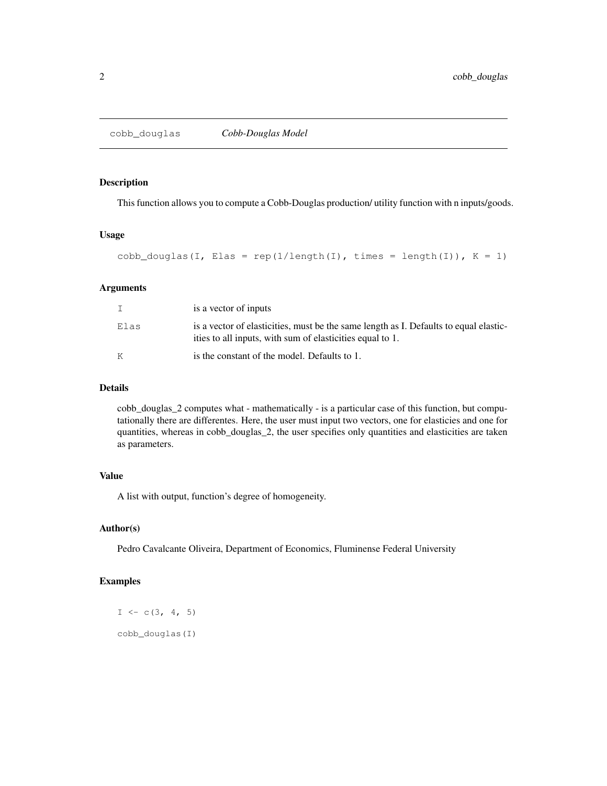#### Description

This function allows you to compute a Cobb-Douglas production/ utility function with n inputs/goods.

## Usage

```
cobb_douglas(I, Elas = rep(1/length(I), times = length(I)), K = 1)
```
#### Arguments

|      | is a vector of inputs                                                                                                                              |
|------|----------------------------------------------------------------------------------------------------------------------------------------------------|
| Elas | is a vector of elasticities, must be the same length as I. Defaults to equal elastic-<br>ities to all inputs, with sum of elasticities equal to 1. |
| K    | is the constant of the model. Defaults to 1.                                                                                                       |

#### Details

cobb\_douglas\_2 computes what - mathematically - is a particular case of this function, but computationally there are differentes. Here, the user must input two vectors, one for elasticies and one for quantities, whereas in cobb\_douglas\_2, the user specifies only quantities and elasticities are taken as parameters.

#### Value

A list with output, function's degree of homogeneity.

#### Author(s)

Pedro Cavalcante Oliveira, Department of Economics, Fluminense Federal University

## Examples

 $I \leftarrow c(3, 4, 5)$ cobb\_douglas(I)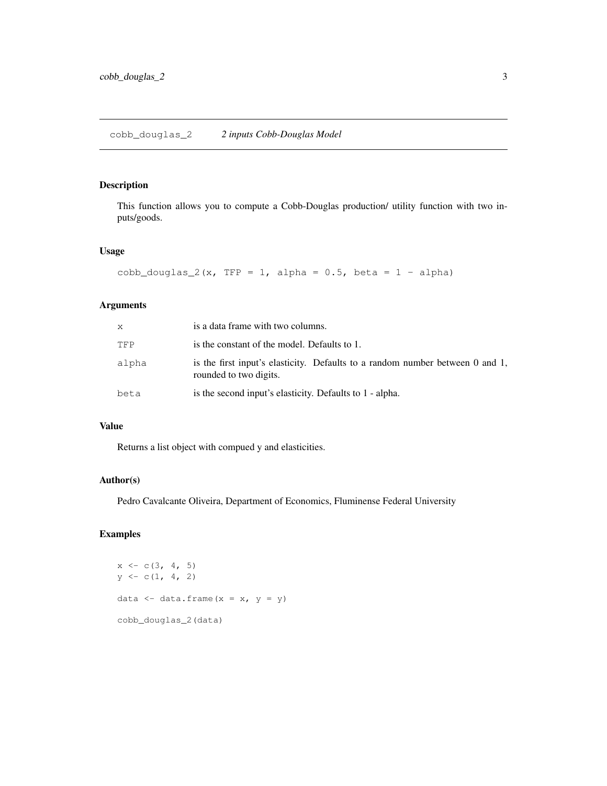## Description

This function allows you to compute a Cobb-Douglas production/ utility function with two inputs/goods.

#### Usage

```
cobb_douglas_2(x, TFP = 1, alpha = 0.5, beta = 1 - alpha)
```
## Arguments

| X     | is a data frame with two columns.                                                                       |
|-------|---------------------------------------------------------------------------------------------------------|
| TFP   | is the constant of the model. Defaults to 1.                                                            |
| alpha | is the first input's elasticity. Defaults to a random number between 0 and 1,<br>rounded to two digits. |
| beta  | is the second input's elasticity. Defaults to 1 - alpha.                                                |

## Value

Returns a list object with compued y and elasticities.

## Author(s)

Pedro Cavalcante Oliveira, Department of Economics, Fluminense Federal University

```
x \leftarrow c(3, 4, 5)y \leftarrow c(1, 4, 2)data \leftarrow data.frame(x = x, y = y)
cobb_douglas_2(data)
```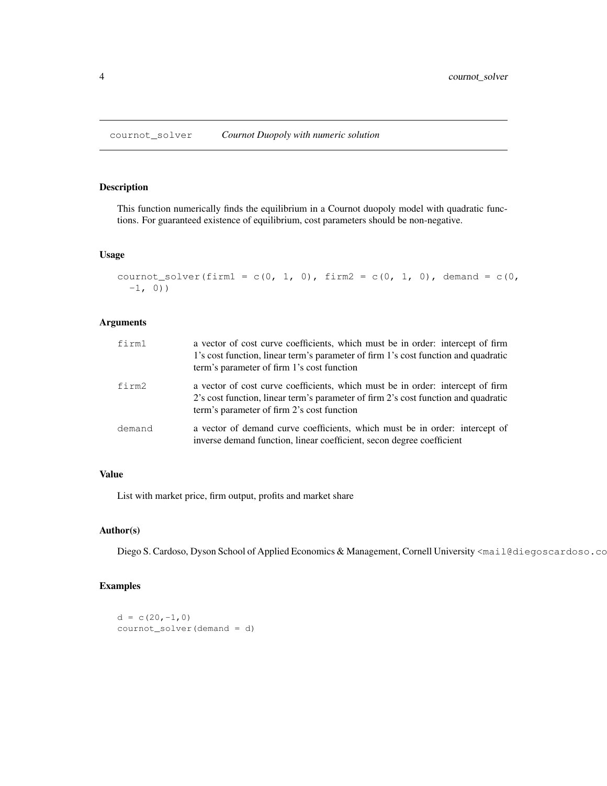cournot\_solver *Cournot Duopoly with numeric solution*

## Description

This function numerically finds the equilibrium in a Cournot duopoly model with quadratic functions. For guaranteed existence of equilibrium, cost parameters should be non-negative.

#### Usage

```
cournot_solver(firm1 = c(0, 1, 0), firm2 = c(0, 1, 0), demand = c(0,
  -1, 0)
```
## Arguments

| firml  | a vector of cost curve coefficients, which must be in order: intercept of firm<br>1's cost function, linear term's parameter of firm 1's cost function and quadratic<br>term's parameter of firm 1's cost function |
|--------|--------------------------------------------------------------------------------------------------------------------------------------------------------------------------------------------------------------------|
| firm2  | a vector of cost curve coefficients, which must be in order: intercept of firm<br>2's cost function, linear term's parameter of firm 2's cost function and quadratic<br>term's parameter of firm 2's cost function |
| demand | a vector of demand curve coefficients, which must be in order: intercept of<br>inverse demand function, linear coefficient, secon degree coefficient                                                               |

#### Value

List with market price, firm output, profits and market share

## Author(s)

Diego S. Cardoso, Dyson School of Applied Economics & Management, Cornell University <mail@diegoscardoso.co

```
d = c(20, -1, 0)cournot_solver(demand = d)
```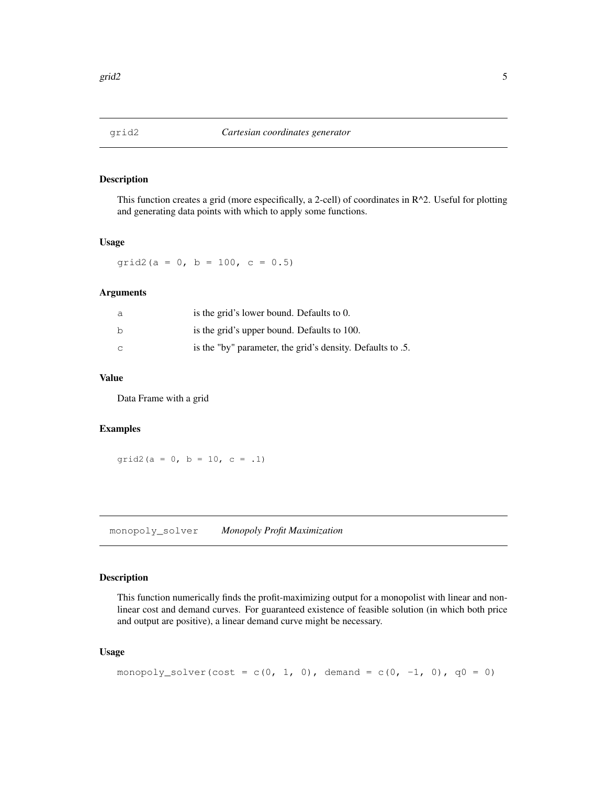## Description

This function creates a grid (more especifically, a 2-cell) of coordinates in R^2. Useful for plotting and generating data points with which to apply some functions.

#### Usage

grid2(a = 0, b = 100, c =  $0.5$ )

#### Arguments

| a  | is the grid's lower bound. Defaults to 0.                  |
|----|------------------------------------------------------------|
| h  | is the grid's upper bound. Defaults to 100.                |
| C. | is the "by" parameter, the grid's density. Defaults to .5. |

## Value

Data Frame with a grid

#### Examples

grid2(a = 0, b = 10, c = .1)

monopoly\_solver *Monopoly Profit Maximization*

#### Description

This function numerically finds the profit-maximizing output for a monopolist with linear and nonlinear cost and demand curves. For guaranteed existence of feasible solution (in which both price and output are positive), a linear demand curve might be necessary.

#### Usage

```
monopoly_solver(cost = c(0, 1, 0), demand = c(0, -1, 0), q0 = 0)
```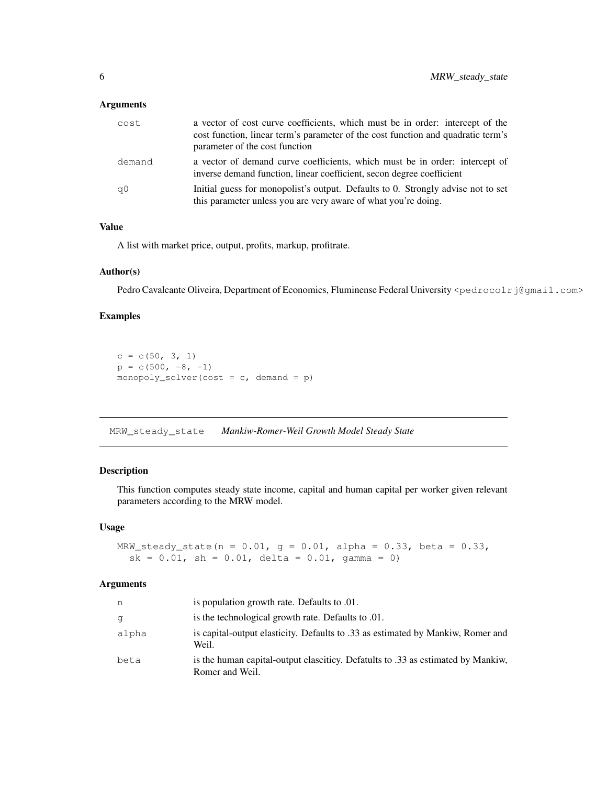#### Arguments

| cost   | a vector of cost curve coefficients, which must be in order: intercept of the<br>cost function, linear term's parameter of the cost function and quadratic term's<br>parameter of the cost function |
|--------|-----------------------------------------------------------------------------------------------------------------------------------------------------------------------------------------------------|
| demand | a vector of demand curve coefficients, which must be in order: intercept of<br>inverse demand function, linear coefficient, secon degree coefficient                                                |
| q0     | Initial guess for monopolist's output. Defaults to 0. Strongly advise not to set<br>this parameter unless you are very aware of what you're doing.                                                  |

## Value

A list with market price, output, profits, markup, profitrate.

#### Author(s)

Pedro Cavalcante Oliveira, Department of Economics, Fluminense Federal University <pedrocolrj@gmail.com>

## Examples

```
c = c(50, 3, 1)p = c(500, -8, -1)monopoly_solver(cost = c, demand = p)
```
MRW\_steady\_state *Mankiw-Romer-Weil Growth Model Steady State*

#### Description

This function computes steady state income, capital and human capital per worker given relevant parameters according to the MRW model.

#### Usage

```
MRW_steady_state(n = 0.01, g = 0.01, alpha = 0.33, beta = 0.33,
  sk = 0.01, sh = 0.01, delta = 0.01, gamma = 0)
```
#### Arguments

| n     | is population growth rate. Defaults to .01.                                                         |
|-------|-----------------------------------------------------------------------------------------------------|
| q     | is the technological growth rate. Defaults to .01.                                                  |
| alpha | is capital-output elasticity. Defaults to .33 as estimated by Mankiw, Romer and<br>Weil.            |
| beta  | is the human capital-output elasciticy. Defatults to .33 as estimated by Mankiw.<br>Romer and Weil. |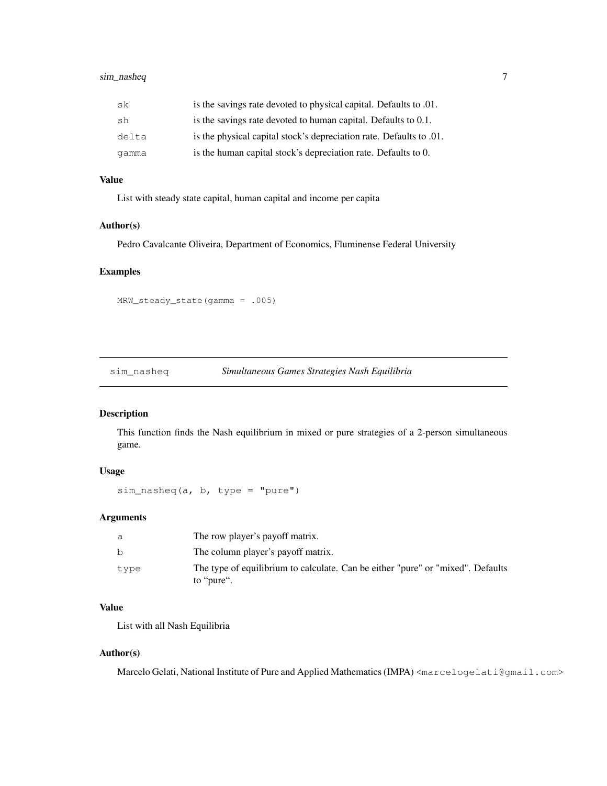## sim\_nasheq 7

| sk    | is the savings rate devoted to physical capital. Defaults to .01.    |
|-------|----------------------------------------------------------------------|
| sh    | is the savings rate devoted to human capital. Defaults to 0.1.       |
| delta | is the physical capital stock's depreciation rate. Defaults to 0.01. |
| qamma | is the human capital stock's depreciation rate. Defaults to 0.       |

## Value

List with steady state capital, human capital and income per capita

#### Author(s)

Pedro Cavalcante Oliveira, Department of Economics, Fluminense Federal University

#### Examples

MRW\_steady\_state(gamma = .005)

#### sim\_nasheq *Simultaneous Games Strategies Nash Equilibria*

#### Description

This function finds the Nash equilibrium in mixed or pure strategies of a 2-person simultaneous game.

## Usage

sim\_nasheq(a, b, type = "pure")

## Arguments

| a    | The row player's payoff matrix.                                                               |
|------|-----------------------------------------------------------------------------------------------|
| b    | The column player's payoff matrix.                                                            |
| type | The type of equilibrium to calculate. Can be either "pure" or "mixed". Defaults<br>to "pure". |

## Value

List with all Nash Equilibria

## Author(s)

Marcelo Gelati, National Institute of Pure and Applied Mathematics (IMPA) <marcelogelati@gmail.com>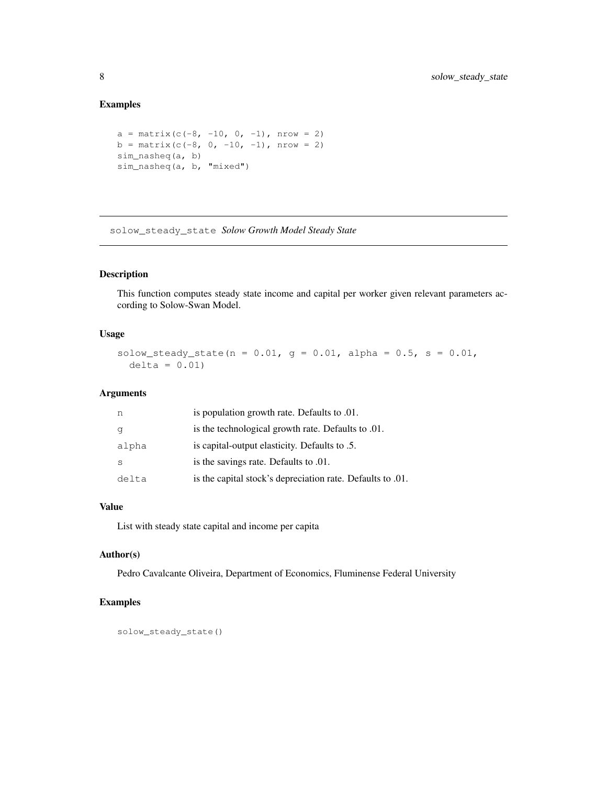## Examples

```
a = matrix(c(-8, -10, 0, -1), nrow = 2)b = matrix(c(-8, 0, -10, -1), nrow = 2)sim_nasheq(a, b)
sim_nasheq(a, b, "mixed")
```
solow\_steady\_state *Solow Growth Model Steady State*

#### Description

This function computes steady state income and capital per worker given relevant parameters according to Solow-Swan Model.

## Usage

solow\_steady\_state(n =  $0.01$ , g =  $0.01$ , alpha =  $0.5$ , s =  $0.01$ ,  $delta = 0.01$ 

#### Arguments

| n     | is population growth rate. Defaults to .01.                |
|-------|------------------------------------------------------------|
|       | is the technological growth rate. Defaults to .01.         |
| alpha | is capital-output elasticity. Defaults to .5.              |
|       | is the savings rate. Defaults to .01.                      |
| delta | is the capital stock's depreciation rate. Defaults to .01. |

## Value

List with steady state capital and income per capita

## Author(s)

Pedro Cavalcante Oliveira, Department of Economics, Fluminense Federal University

```
solow_steady_state()
```